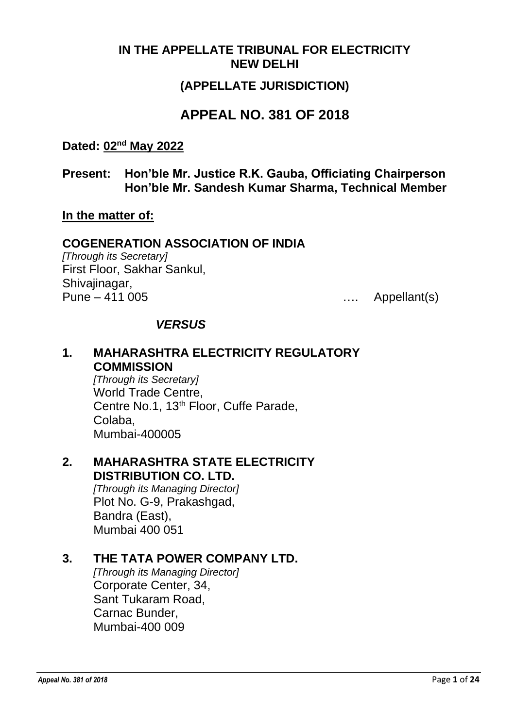#### **IN THE APPELLATE TRIBUNAL FOR ELECTRICITY NEW DELHI**

### **(APPELLATE JURISDICTION)**

# **APPEAL NO. 381 OF 2018**

#### **Dated: 02nd May 2022**

**Present: Hon'ble Mr. Justice R.K. Gauba, Officiating Chairperson Hon'ble Mr. Sandesh Kumar Sharma, Technical Member**

#### **In the matter of:**

#### **COGENERATION ASSOCIATION OF INDIA**

*[Through its Secretary]* First Floor, Sakhar Sankul, Shivajinagar, Pune – 411 005 …. Appellant(s)

#### *VERSUS*

#### **1. MAHARASHTRA ELECTRICITY REGULATORY COMMISSION**

*[Through its Secretary]* World Trade Centre, Centre No.1, 13<sup>th</sup> Floor, Cuffe Parade, Colaba, Mumbai-400005

### **2. MAHARASHTRA STATE ELECTRICITY DISTRIBUTION CO. LTD.**

*[Through its Managing Director]* Plot No. G-9, Prakashgad, Bandra (East), Mumbai 400 051

### **3. THE TATA POWER COMPANY LTD.**

*[Through its Managing Director]* Corporate Center, 34, Sant Tukaram Road, Carnac Bunder, Mumbai-400 009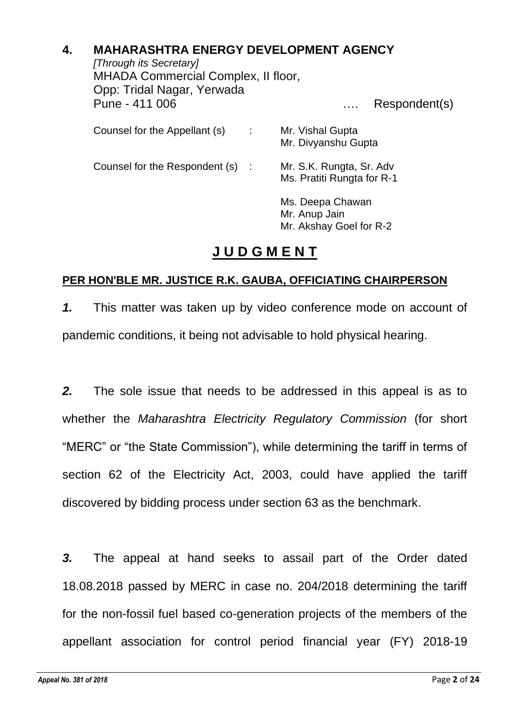## **4. MAHARASHTRA ENERGY DEVELOPMENT AGENCY**

*[Through its Secretary]* MHADA Commercial Complex, II floor, Opp: Tridal Nagar, Yerwada Pune - 411 006 …. Respondent(s) Counsel for the Appellant (s) : Mr. Vishal Gupta Mr. Divyanshu Gupta Counsel for the Respondent (s) : Mr. S.K. Rungta, Sr. Adv Ms. Pratiti Rungta for R-1 Ms. Deepa Chawan Mr. Anup Jain Mr. Akshay Goel for R-2

# **J U D G M E N T**

### **PER HON'BLE MR. JUSTICE R.K. GAUBA, OFFICIATING CHAIRPERSON**

*1.* This matter was taken up by video conference mode on account of pandemic conditions, it being not advisable to hold physical hearing.

*2.* The sole issue that needs to be addressed in this appeal is as to whether the *Maharashtra Electricity Regulatory Commission* (for short "MERC" or "the State Commission"), while determining the tariff in terms of section 62 of the Electricity Act, 2003, could have applied the tariff discovered by bidding process under section 63 as the benchmark.

*3.* The appeal at hand seeks to assail part of the Order dated 18.08.2018 passed by MERC in case no. 204/2018 determining the tariff for the non-fossil fuel based co-generation projects of the members of the appellant association for control period financial year (FY) 2018-19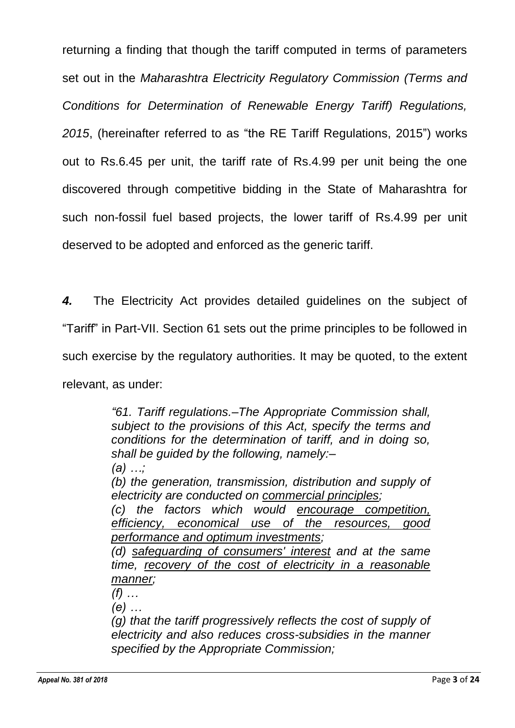returning a finding that though the tariff computed in terms of parameters set out in the *Maharashtra Electricity Regulatory Commission (Terms and Conditions for Determination of Renewable Energy Tariff) Regulations, 2015*, (hereinafter referred to as "the RE Tariff Regulations, 2015") works out to Rs.6.45 per unit, the tariff rate of Rs.4.99 per unit being the one discovered through competitive bidding in the State of Maharashtra for such non-fossil fuel based projects, the lower tariff of Rs.4.99 per unit deserved to be adopted and enforced as the generic tariff.

*4.* The Electricity Act provides detailed guidelines on the subject of "Tariff" in Part-VII. Section 61 sets out the prime principles to be followed in such exercise by the regulatory authorities. It may be quoted, to the extent relevant, as under:

> *"61. Tariff regulations.–The Appropriate Commission shall, subject to the provisions of this Act, specify the terms and conditions for the determination of tariff, and in doing so, shall be guided by the following, namely:– (a) …;*

> *(b) the generation, transmission, distribution and supply of electricity are conducted on commercial principles;*

> *(c) the factors which would encourage competition, efficiency, economical use of the resources, good performance and optimum investments;*

> *(d) safeguarding of consumers' interest and at the same time, recovery of the cost of electricity in a reasonable manner;*

*(f) …*

*(e) …*

*(g) that the tariff progressively reflects the cost of supply of electricity and also reduces cross-subsidies in the manner specified by the Appropriate Commission;*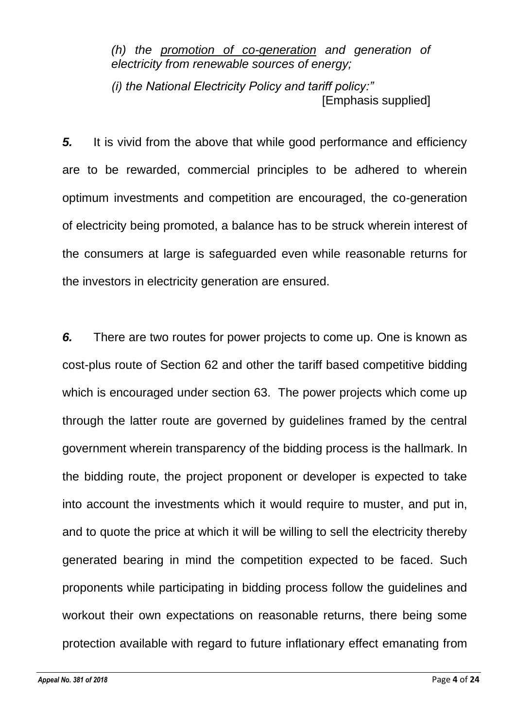*(h) the promotion of co-generation and generation of electricity from renewable sources of energy;*

*(i) the National Electricity Policy and tariff policy:"* [Emphasis supplied]

**5.** It is vivid from the above that while good performance and efficiency are to be rewarded, commercial principles to be adhered to wherein optimum investments and competition are encouraged, the co-generation of electricity being promoted, a balance has to be struck wherein interest of the consumers at large is safeguarded even while reasonable returns for the investors in electricity generation are ensured.

*6.* There are two routes for power projects to come up. One is known as cost-plus route of Section 62 and other the tariff based competitive bidding which is encouraged under section 63. The power projects which come up through the latter route are governed by guidelines framed by the central government wherein transparency of the bidding process is the hallmark. In the bidding route, the project proponent or developer is expected to take into account the investments which it would require to muster, and put in, and to quote the price at which it will be willing to sell the electricity thereby generated bearing in mind the competition expected to be faced. Such proponents while participating in bidding process follow the guidelines and workout their own expectations on reasonable returns, there being some protection available with regard to future inflationary effect emanating from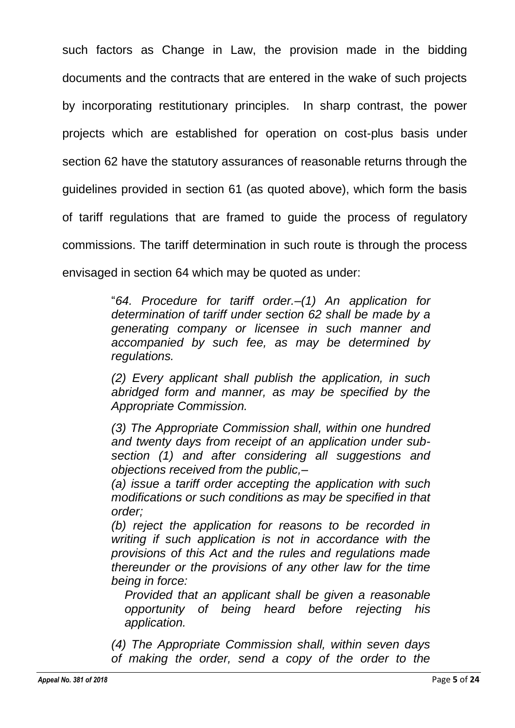such factors as Change in Law, the provision made in the bidding documents and the contracts that are entered in the wake of such projects by incorporating restitutionary principles. In sharp contrast, the power projects which are established for operation on cost-plus basis under section 62 have the statutory assurances of reasonable returns through the guidelines provided in section 61 (as quoted above), which form the basis of tariff regulations that are framed to guide the process of regulatory commissions. The tariff determination in such route is through the process envisaged in section 64 which may be quoted as under:

> "*64. Procedure for tariff order.–(1) An application for determination of tariff under section 62 shall be made by a generating company or licensee in such manner and accompanied by such fee, as may be determined by regulations.*

> *(2) Every applicant shall publish the application, in such abridged form and manner, as may be specified by the Appropriate Commission.*

> *(3) The Appropriate Commission shall, within one hundred and twenty days from receipt of an application under subsection (1) and after considering all suggestions and objections received from the public,–*

> *(a) issue a tariff order accepting the application with such modifications or such conditions as may be specified in that order;*

> *(b) reject the application for reasons to be recorded in writing if such application is not in accordance with the provisions of this Act and the rules and regulations made thereunder or the provisions of any other law for the time being in force:*

*Provided that an applicant shall be given a reasonable opportunity of being heard before rejecting his application.*

*(4) The Appropriate Commission shall, within seven days of making the order, send a copy of the order to the*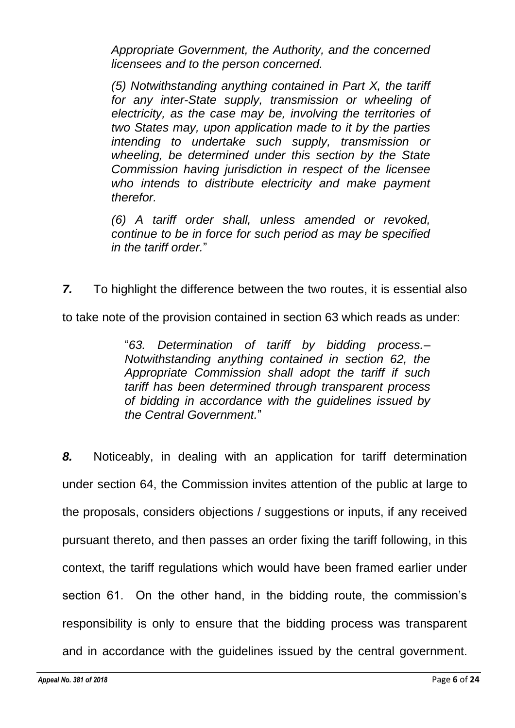*Appropriate Government, the Authority, and the concerned licensees and to the person concerned.*

*(5) Notwithstanding anything contained in Part X, the tariff for any inter-State supply, transmission or wheeling of electricity, as the case may be, involving the territories of two States may, upon application made to it by the parties intending to undertake such supply, transmission or wheeling, be determined under this section by the State Commission having jurisdiction in respect of the licensee who intends to distribute electricity and make payment therefor.*

*(6) A tariff order shall, unless amended or revoked, continue to be in force for such period as may be specified in the tariff order.*"

*7.* To highlight the difference between the two routes, it is essential also

to take note of the provision contained in section 63 which reads as under:

"*63. Determination of tariff by bidding process.– Notwithstanding anything contained in section 62, the Appropriate Commission shall adopt the tariff if such tariff has been determined through transparent process of bidding in accordance with the guidelines issued by the Central Government.*"

*8.* Noticeably, in dealing with an application for tariff determination under section 64, the Commission invites attention of the public at large to the proposals, considers objections / suggestions or inputs, if any received pursuant thereto, and then passes an order fixing the tariff following, in this context, the tariff regulations which would have been framed earlier under section 61. On the other hand, in the bidding route, the commission's responsibility is only to ensure that the bidding process was transparent and in accordance with the guidelines issued by the central government.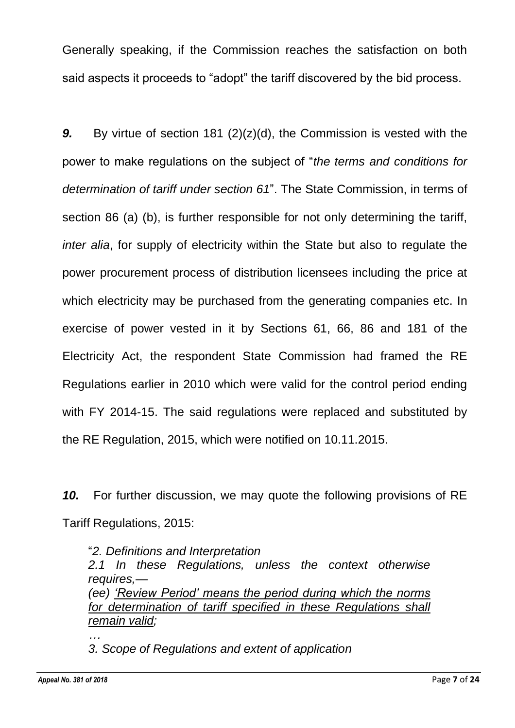Generally speaking, if the Commission reaches the satisfaction on both said aspects it proceeds to "adopt" the tariff discovered by the bid process.

*9.* By virtue of section 181 (2)(z)(d), the Commission is vested with the power to make regulations on the subject of "*the terms and conditions for determination of tariff under section 61*". The State Commission, in terms of section 86 (a) (b), is further responsible for not only determining the tariff, *inter alia*, for supply of electricity within the State but also to regulate the power procurement process of distribution licensees including the price at which electricity may be purchased from the generating companies etc. In exercise of power vested in it by Sections 61, 66, 86 and 181 of the Electricity Act, the respondent State Commission had framed the RE Regulations earlier in 2010 which were valid for the control period ending with FY 2014-15. The said regulations were replaced and substituted by the RE Regulation, 2015, which were notified on 10.11.2015.

*10.* For further discussion, we may quote the following provisions of RE Tariff Regulations, 2015:

"*2. Definitions and Interpretation 2.1 In these Regulations, unless the context otherwise requires,— (ee) 'Review Period' means the period during which the norms for determination of tariff specified in these Regulations shall remain valid; …*

*3. Scope of Regulations and extent of application*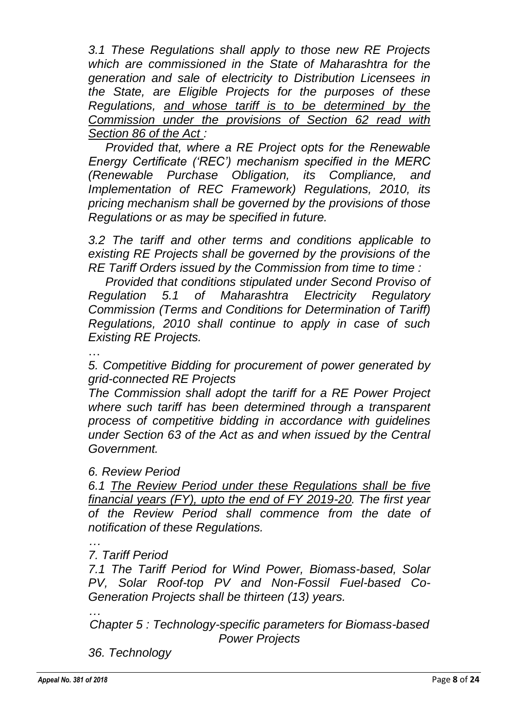*3.1 These Regulations shall apply to those new RE Projects which are commissioned in the State of Maharashtra for the generation and sale of electricity to Distribution Licensees in the State, are Eligible Projects for the purposes of these Regulations, and whose tariff is to be determined by the Commission under the provisions of Section 62 read with Section 86 of the Act :*

*Provided that, where a RE Project opts for the Renewable Energy Certificate ('REC') mechanism specified in the MERC (Renewable Purchase Obligation, its Compliance, and Implementation of REC Framework) Regulations, 2010, its pricing mechanism shall be governed by the provisions of those Regulations or as may be specified in future.*

*3.2 The tariff and other terms and conditions applicable to existing RE Projects shall be governed by the provisions of the RE Tariff Orders issued by the Commission from time to time :*

*Provided that conditions stipulated under Second Proviso of Regulation 5.1 of Maharashtra Electricity Regulatory Commission (Terms and Conditions for Determination of Tariff) Regulations, 2010 shall continue to apply in case of such Existing RE Projects.*

…

*5. Competitive Bidding for procurement of power generated by grid-connected RE Projects*

*The Commission shall adopt the tariff for a RE Power Project where such tariff has been determined through a transparent process of competitive bidding in accordance with guidelines under Section 63 of the Act as and when issued by the Central Government.*

#### *6. Review Period*

*6.1 The Review Period under these Regulations shall be five financial years (FY), upto the end of FY 2019-20. The first year of the Review Period shall commence from the date of notification of these Regulations.*

### *7. Tariff Period*

*…*

*7.1 The Tariff Period for Wind Power, Biomass-based, Solar PV, Solar Roof-top PV and Non-Fossil Fuel-based Co-Generation Projects shall be thirteen (13) years.*

*… Chapter 5 : Technology-specific parameters for Biomass-based Power Projects*

*36. Technology*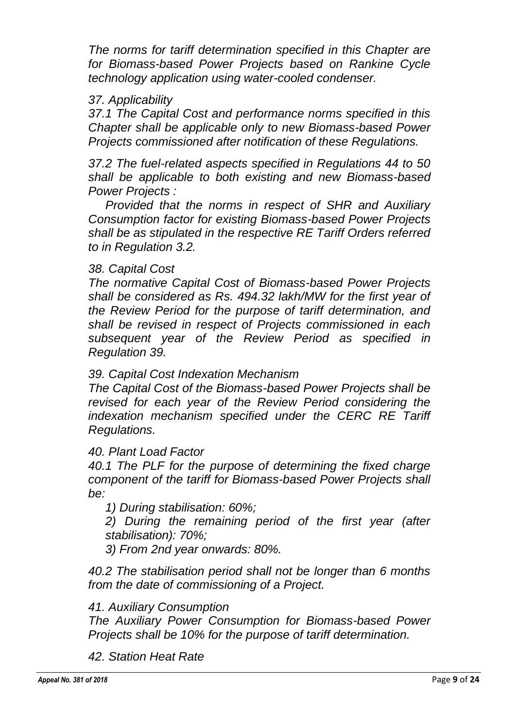*The norms for tariff determination specified in this Chapter are for Biomass-based Power Projects based on Rankine Cycle technology application using water-cooled condenser.*

### *37. Applicability*

*37.1 The Capital Cost and performance norms specified in this Chapter shall be applicable only to new Biomass-based Power Projects commissioned after notification of these Regulations.*

*37.2 The fuel-related aspects specified in Regulations 44 to 50 shall be applicable to both existing and new Biomass-based Power Projects :*

*Provided that the norms in respect of SHR and Auxiliary Consumption factor for existing Biomass-based Power Projects shall be as stipulated in the respective RE Tariff Orders referred to in Regulation 3.2.*

#### *38. Capital Cost*

*The normative Capital Cost of Biomass-based Power Projects shall be considered as Rs. 494.32 lakh/MW for the first year of the Review Period for the purpose of tariff determination, and shall be revised in respect of Projects commissioned in each subsequent year of the Review Period as specified in Regulation 39.*

#### *39. Capital Cost Indexation Mechanism*

*The Capital Cost of the Biomass-based Power Projects shall be revised for each year of the Review Period considering the indexation mechanism specified under the CERC RE Tariff Regulations.*

*40. Plant Load Factor*

*40.1 The PLF for the purpose of determining the fixed charge component of the tariff for Biomass-based Power Projects shall be:*

*1) During stabilisation: 60%;*

*2) During the remaining period of the first year (after stabilisation): 70%;*

*3) From 2nd year onwards: 80%.*

*40.2 The stabilisation period shall not be longer than 6 months from the date of commissioning of a Project.*

#### *41. Auxiliary Consumption*

*The Auxiliary Power Consumption for Biomass-based Power Projects shall be 10% for the purpose of tariff determination.*

*42. Station Heat Rate*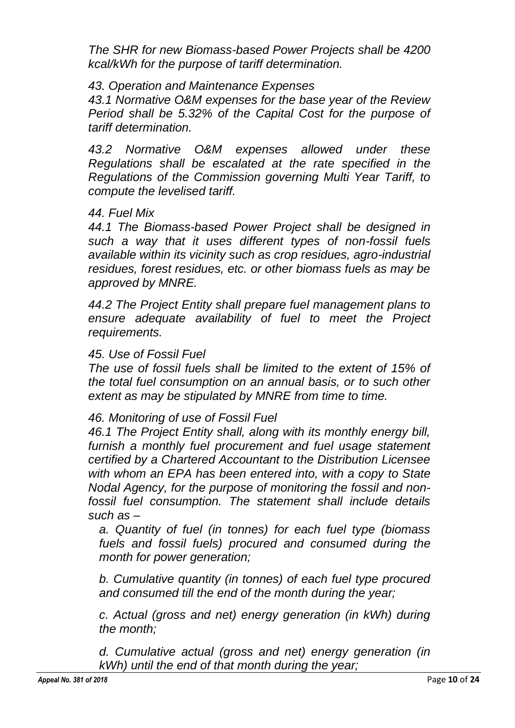*The SHR for new Biomass-based Power Projects shall be 4200 kcal/kWh for the purpose of tariff determination.*

#### *43. Operation and Maintenance Expenses*

*43.1 Normative O&M expenses for the base year of the Review Period shall be 5.32% of the Capital Cost for the purpose of tariff determination.*

*43.2 Normative O&M expenses allowed under these Regulations shall be escalated at the rate specified in the Regulations of the Commission governing Multi Year Tariff, to compute the levelised tariff.*

#### *44. Fuel Mix*

*44.1 The Biomass-based Power Project shall be designed in such a way that it uses different types of non-fossil fuels available within its vicinity such as crop residues, agro-industrial residues, forest residues, etc. or other biomass fuels as may be approved by MNRE.*

*44.2 The Project Entity shall prepare fuel management plans to ensure adequate availability of fuel to meet the Project requirements.*

#### *45. Use of Fossil Fuel*

*The use of fossil fuels shall be limited to the extent of 15% of the total fuel consumption on an annual basis, or to such other extent as may be stipulated by MNRE from time to time.*

### *46. Monitoring of use of Fossil Fuel*

*46.1 The Project Entity shall, along with its monthly energy bill,*  furnish a monthly fuel procurement and fuel usage statement *certified by a Chartered Accountant to the Distribution Licensee with whom an EPA has been entered into, with a copy to State Nodal Agency, for the purpose of monitoring the fossil and nonfossil fuel consumption. The statement shall include details such as –*

*a. Quantity of fuel (in tonnes) for each fuel type (biomass fuels and fossil fuels) procured and consumed during the month for power generation;*

*b. Cumulative quantity (in tonnes) of each fuel type procured and consumed till the end of the month during the year;*

*c. Actual (gross and net) energy generation (in kWh) during the month;*

*d. Cumulative actual (gross and net) energy generation (in kWh) until the end of that month during the year;*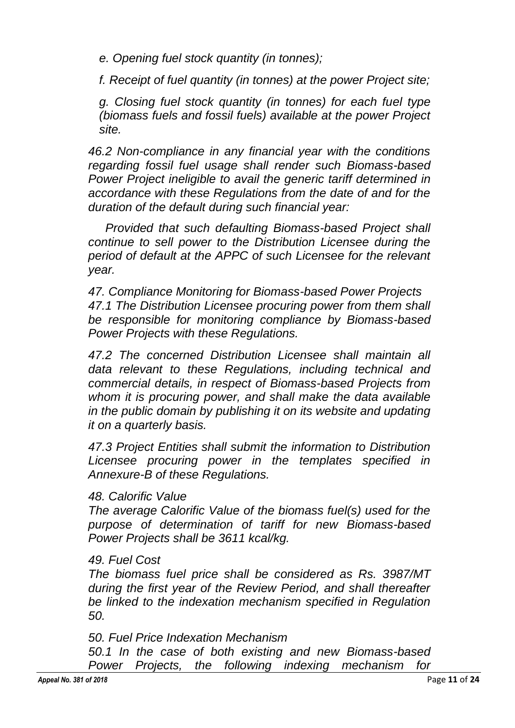*e. Opening fuel stock quantity (in tonnes);*

*f. Receipt of fuel quantity (in tonnes) at the power Project site;*

*g. Closing fuel stock quantity (in tonnes) for each fuel type (biomass fuels and fossil fuels) available at the power Project site.*

*46.2 Non-compliance in any financial year with the conditions regarding fossil fuel usage shall render such Biomass-based Power Project ineligible to avail the generic tariff determined in accordance with these Regulations from the date of and for the duration of the default during such financial year:*

*Provided that such defaulting Biomass-based Project shall continue to sell power to the Distribution Licensee during the period of default at the APPC of such Licensee for the relevant year.*

*47. Compliance Monitoring for Biomass-based Power Projects 47.1 The Distribution Licensee procuring power from them shall be responsible for monitoring compliance by Biomass-based Power Projects with these Regulations.*

*47.2 The concerned Distribution Licensee shall maintain all data relevant to these Regulations, including technical and commercial details, in respect of Biomass-based Projects from whom it is procuring power, and shall make the data available in the public domain by publishing it on its website and updating it on a quarterly basis.*

*47.3 Project Entities shall submit the information to Distribution Licensee procuring power in the templates specified in Annexure-B of these Regulations.*

#### *48. Calorific Value*

*The average Calorific Value of the biomass fuel(s) used for the purpose of determination of tariff for new Biomass-based Power Projects shall be 3611 kcal/kg.*

#### *49. Fuel Cost*

*The biomass fuel price shall be considered as Rs. 3987/MT during the first year of the Review Period, and shall thereafter be linked to the indexation mechanism specified in Regulation 50.*

*50. Fuel Price Indexation Mechanism*

*50.1 In the case of both existing and new Biomass-based Power Projects, the following indexing mechanism for*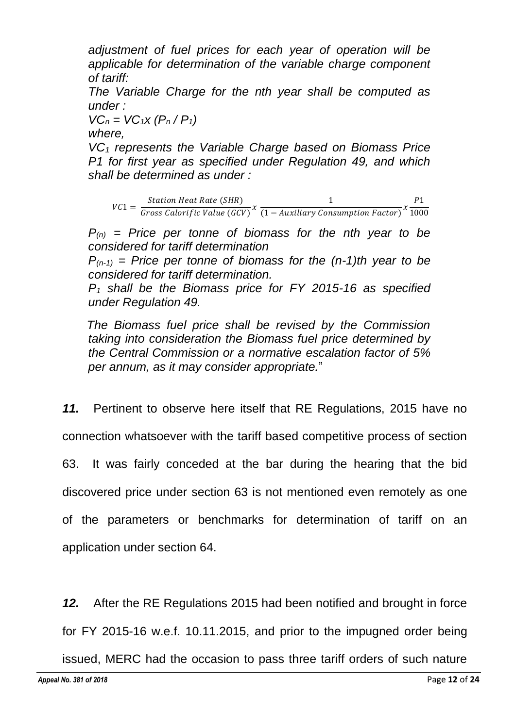*adjustment of fuel prices for each year of operation will be applicable for determination of the variable charge component of tariff:*

*The Variable Charge for the nth year shall be computed as under :*

 $VC_n = VC_1X (P_n / P_1)$ 

*where,*

*VC<sup>1</sup> represents the Variable Charge based on Biomass Price P1 for first year as specified under Regulation 49, and which shall be determined as under :*

 $VC1 = \frac{Station\ Heat\ Rate\ (SHR)}{Guses\ Galmitian\ High\ Lable\ CGS}$ Station Heat Rate (SHR)<br>Gross Calorific Value (GCV)<sup>x</sup>  $\frac{1}{(1 - \text{Auxiliary Con}}$  $\frac{1}{(1 - \textit{Auxiliary Consumption Factor})} x \frac{P1}{100}$ 1000

 $P_{(n)}$  = Price per tonne of biomass for the nth year to be *considered for tariff determination*

 $P_{(n-1)}$  = Price per tonne of biomass for the  $(n-1)$ th year to be *considered for tariff determination.*

*P<sup>1</sup> shall be the Biomass price for FY 2015-16 as specified under Regulation 49.*

*The Biomass fuel price shall be revised by the Commission taking into consideration the Biomass fuel price determined by the Central Commission or a normative escalation factor of 5% per annum, as it may consider appropriate.*"

*11.* Pertinent to observe here itself that RE Regulations, 2015 have no

connection whatsoever with the tariff based competitive process of section

63. It was fairly conceded at the bar during the hearing that the bid

discovered price under section 63 is not mentioned even remotely as one

of the parameters or benchmarks for determination of tariff on an application under section 64.

*12.* After the RE Regulations 2015 had been notified and brought in force

for FY 2015-16 w.e.f. 10.11.2015, and prior to the impugned order being

issued, MERC had the occasion to pass three tariff orders of such nature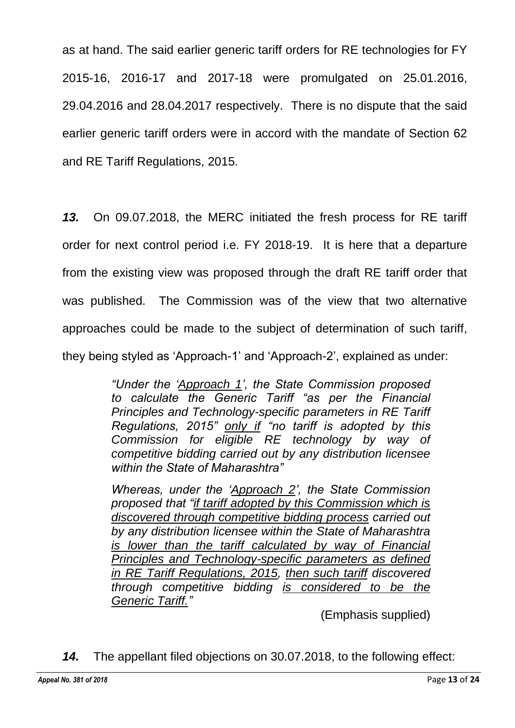as at hand. The said earlier generic tariff orders for RE technologies for FY 2015-16, 2016-17 and 2017-18 were promulgated on 25.01.2016, 29.04.2016 and 28.04.2017 respectively. There is no dispute that the said earlier generic tariff orders were in accord with the mandate of Section 62 and RE Tariff Regulations, 2015.

*13.* On 09.07.2018, the MERC initiated the fresh process for RE tariff order for next control period i.e. FY 2018-19. It is here that a departure from the existing view was proposed through the draft RE tariff order that was published. The Commission was of the view that two alternative approaches could be made to the subject of determination of such tariff, they being styled as 'Approach-1' and 'Approach-2', explained as under:

> *"Under the 'Approach 1', the State Commission proposed to calculate the Generic Tariff "as per the Financial Principles and Technology-specific parameters in RE Tariff Regulations, 2015" only if "no tariff is adopted by this Commission for eligible RE technology by way of competitive bidding carried out by any distribution licensee within the State of Maharashtra"*

> *Whereas, under the 'Approach 2', the State Commission proposed that "if tariff adopted by this Commission which is discovered through competitive bidding process carried out by any distribution licensee within the State of Maharashtra is lower than the tariff calculated by way of Financial Principles and Technology-specific parameters as defined in RE Tariff Regulations, 2015, then such tariff discovered through competitive bidding is considered to be the Generic Tariff."*

(Emphasis supplied)

*14.* The appellant filed objections on 30.07.2018, to the following effect: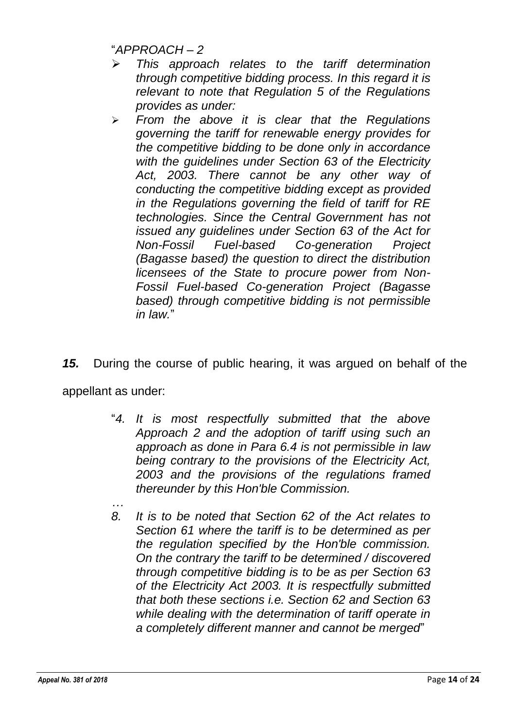"*APPROACH – 2*

- ➢ *This approach relates to the tariff determination through competitive bidding process. In this regard it is relevant to note that Regulation 5 of the Regulations provides as under:*
- ➢ *From the above it is clear that the Regulations governing the tariff for renewable energy provides for the competitive bidding to be done only in accordance with the guidelines under Section 63 of the Electricity Act, 2003. There cannot be any other way of conducting the competitive bidding except as provided in the Regulations governing the field of tariff for RE technologies. Since the Central Government has not issued any guidelines under Section 63 of the Act for Non-Fossil Fuel-based Co-generation Project (Bagasse based) the question to direct the distribution licensees of the State to procure power from Non-Fossil Fuel-based Co-generation Project (Bagasse based) through competitive bidding is not permissible in law.*"

*15.* During the course of public hearing, it was argued on behalf of the appellant as under:

- "*4. It is most respectfully submitted that the above Approach 2 and the adoption of tariff using such an approach as done in Para 6.4 is not permissible in law being contrary to the provisions of the Electricity Act, 2003 and the provisions of the regulations framed thereunder by this Hon'ble Commission.*
- *… 8. It is to be noted that Section 62 of the Act relates to Section 61 where the tariff is to be determined as per the regulation specified by the Hon'ble commission. On the contrary the tariff to be determined / discovered through competitive bidding is to be as per Section 63 of the Electricity Act 2003. It is respectfully submitted that both these sections i.e. Section 62 and Section 63 while dealing with the determination of tariff operate in a completely different manner and cannot be merged*"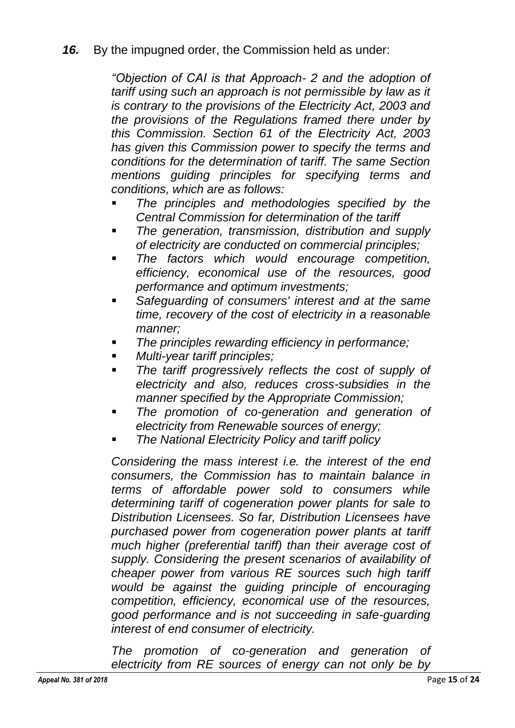### *16.* By the impugned order, the Commission held as under:

*"Objection of CAI is that Approach- 2 and the adoption of tariff using such an approach is not permissible by law as it is contrary to the provisions of the Electricity Act, 2003 and the provisions of the Regulations framed there under by this Commission. Section 61 of the Electricity Act, 2003 has given this Commission power to specify the terms and conditions for the determination of tariff. The same Section mentions guiding principles for specifying terms and conditions, which are as follows:*

- The principles and methodologies specified by the *Central Commission for determination of the tariff*
- *The generation, transmission, distribution and supply of electricity are conducted on commercial principles;*
- *The factors which would encourage competition, efficiency, economical use of the resources, good performance and optimum investments;*
- *Safeguarding of consumers' interest and at the same time, recovery of the cost of electricity in a reasonable manner;*
- *The principles rewarding efficiency in performance;*
- *Multi-year tariff principles;*
- *The tariff progressively reflects the cost of supply of electricity and also, reduces cross-subsidies in the manner specified by the Appropriate Commission;*
- *The promotion of co-generation and generation of electricity from Renewable sources of energy;*
- **The National Electricity Policy and tariff policy**

*Considering the mass interest i.e. the interest of the end consumers, the Commission has to maintain balance in terms of affordable power sold to consumers while determining tariff of cogeneration power plants for sale to Distribution Licensees. So far, Distribution Licensees have purchased power from cogeneration power plants at tariff much higher (preferential tariff) than their average cost of supply. Considering the present scenarios of availability of cheaper power from various RE sources such high tariff would be against the guiding principle of encouraging competition, efficiency, economical use of the resources, good performance and is not succeeding in safe-guarding interest of end consumer of electricity.*

*The promotion of co-generation and generation of electricity from RE sources of energy can not only be by*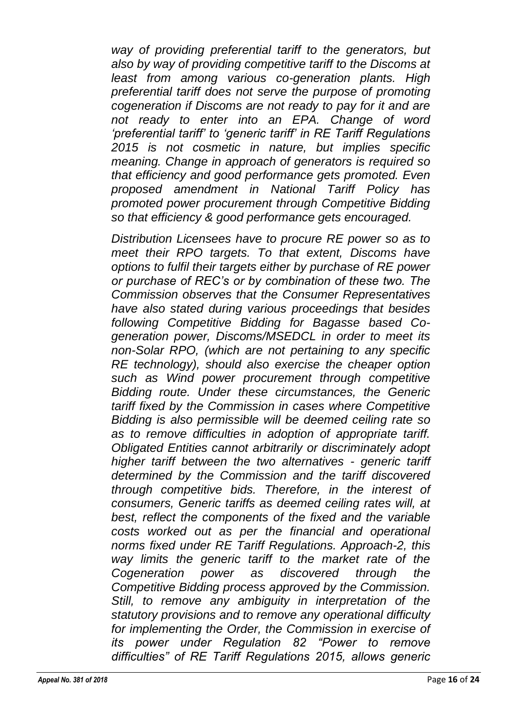*way of providing preferential tariff to the generators, but also by way of providing competitive tariff to the Discoms at least from among various co-generation plants. High preferential tariff does not serve the purpose of promoting cogeneration if Discoms are not ready to pay for it and are not ready to enter into an EPA. Change of word 'preferential tariff' to 'generic tariff' in RE Tariff Regulations 2015 is not cosmetic in nature, but implies specific meaning. Change in approach of generators is required so that efficiency and good performance gets promoted. Even proposed amendment in National Tariff Policy has promoted power procurement through Competitive Bidding so that efficiency & good performance gets encouraged.*

*Distribution Licensees have to procure RE power so as to meet their RPO targets. To that extent, Discoms have options to fulfil their targets either by purchase of RE power or purchase of REC's or by combination of these two. The Commission observes that the Consumer Representatives have also stated during various proceedings that besides following Competitive Bidding for Bagasse based Cogeneration power, Discoms/MSEDCL in order to meet its non-Solar RPO, (which are not pertaining to any specific RE technology), should also exercise the cheaper option such as Wind power procurement through competitive Bidding route. Under these circumstances, the Generic tariff fixed by the Commission in cases where Competitive Bidding is also permissible will be deemed ceiling rate so as to remove difficulties in adoption of appropriate tariff. Obligated Entities cannot arbitrarily or discriminately adopt higher tariff between the two alternatives - generic tariff determined by the Commission and the tariff discovered through competitive bids. Therefore, in the interest of consumers, Generic tariffs as deemed ceiling rates will, at best, reflect the components of the fixed and the variable costs worked out as per the financial and operational norms fixed under RE Tariff Regulations. Approach-2, this way limits the generic tariff to the market rate of the Cogeneration power as discovered through the Competitive Bidding process approved by the Commission. Still, to remove any ambiguity in interpretation of the statutory provisions and to remove any operational difficulty for implementing the Order, the Commission in exercise of its power under Regulation 82 "Power to remove difficulties" of RE Tariff Regulations 2015, allows generic*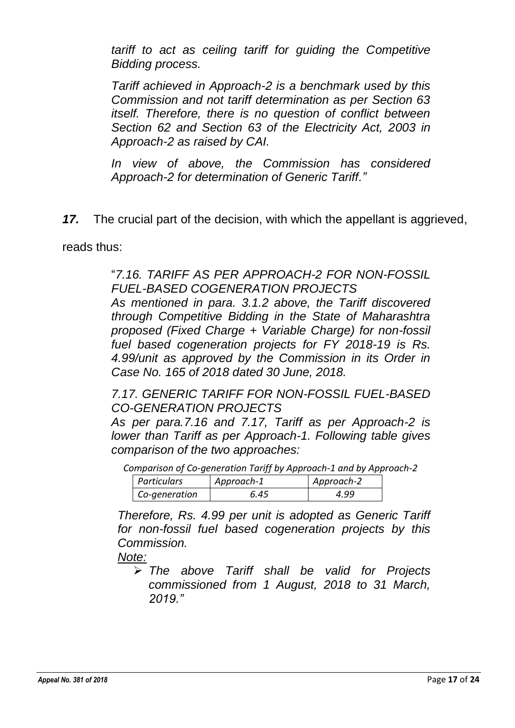*tariff to act as ceiling tariff for guiding the Competitive Bidding process.*

*Tariff achieved in Approach-2 is a benchmark used by this Commission and not tariff determination as per Section 63 itself. Therefore, there is no question of conflict between Section 62 and Section 63 of the Electricity Act, 2003 in Approach-2 as raised by CAI.*

*In view of above, the Commission has considered Approach-2 for determination of Generic Tariff."*

*17.* The crucial part of the decision, with which the appellant is aggrieved,

reads thus:

"*7.16. TARIFF AS PER APPROACH-2 FOR NON-FOSSIL FUEL-BASED COGENERATION PROJECTS* 

*As mentioned in para. 3.1.2 above, the Tariff discovered through Competitive Bidding in the State of Maharashtra proposed (Fixed Charge + Variable Charge) for non-fossil fuel based cogeneration projects for FY 2018-19 is Rs. 4.99/unit as approved by the Commission in its Order in Case No. 165 of 2018 dated 30 June, 2018.* 

*7.17. GENERIC TARIFF FOR NON-FOSSIL FUEL-BASED CO-GENERATION PROJECTS* 

*As per para.7.16 and 7.17, Tariff as per Approach-2 is lower than Tariff as per Approach-1. Following table gives comparison of the two approaches:* 

*Comparison of Co-generation Tariff by Approach-1 and by Approach-2*

| <b>Particulars</b> | Approach-1 | Approach-2 |
|--------------------|------------|------------|
| Co-generation      | 6.45       | 4.99       |

*Therefore, Rs. 4.99 per unit is adopted as Generic Tariff for non-fossil fuel based cogeneration projects by this Commission.* 

*Note:*

➢ *The above Tariff shall be valid for Projects commissioned from 1 August, 2018 to 31 March, 2019."*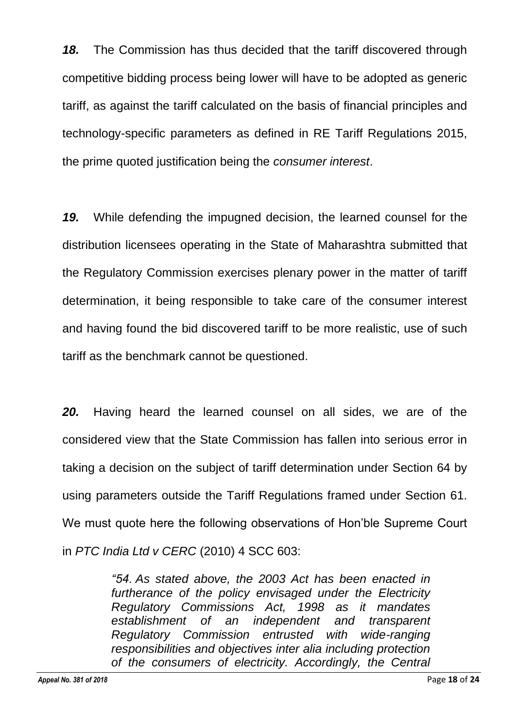*18.* The Commission has thus decided that the tariff discovered through competitive bidding process being lower will have to be adopted as generic tariff, as against the tariff calculated on the basis of financial principles and technology-specific parameters as defined in RE Tariff Regulations 2015, the prime quoted justification being the *consumer interest*.

*19.* While defending the impugned decision, the learned counsel for the distribution licensees operating in the State of Maharashtra submitted that the Regulatory Commission exercises plenary power in the matter of tariff determination, it being responsible to take care of the consumer interest and having found the bid discovered tariff to be more realistic, use of such tariff as the benchmark cannot be questioned.

*20.* Having heard the learned counsel on all sides, we are of the considered view that the State Commission has fallen into serious error in taking a decision on the subject of tariff determination under Section 64 by using parameters outside the Tariff Regulations framed under Section 61. We must quote here the following observations of Hon'ble Supreme Court in *PTC India Ltd v CERC* (2010) 4 SCC 603:

> *"54. As stated above, the 2003 Act has been enacted in furtherance of the policy envisaged under the Electricity Regulatory Commissions Act, 1998 as it mandates establishment of an independent and transparent Regulatory Commission entrusted with wide-ranging responsibilities and objectives inter alia including protection of the consumers of electricity. Accordingly, the Central*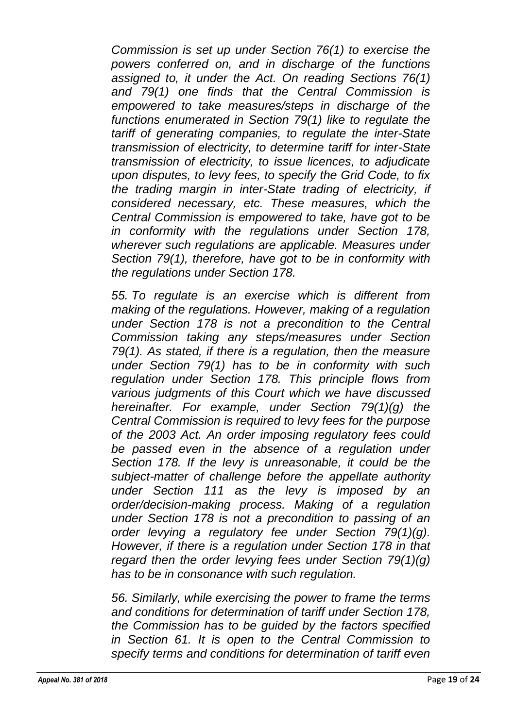*Commission is set up under Section 76(1) to exercise the powers conferred on, and in discharge of the functions assigned to, it under the Act. On reading Sections 76(1) and 79(1) one finds that the Central Commission is empowered to take measures/steps in discharge of the functions enumerated in Section 79(1) like to regulate the tariff of generating companies, to regulate the inter-State transmission of electricity, to determine tariff for inter-State transmission of electricity, to issue licences, to adjudicate upon disputes, to levy fees, to specify the Grid Code, to fix the trading margin in inter-State trading of electricity, if considered necessary, etc. These measures, which the Central Commission is empowered to take, have got to be in conformity with the regulations under Section 178, wherever such regulations are applicable. Measures under Section 79(1), therefore, have got to be in conformity with the regulations under Section 178.*

*55. To regulate is an exercise which is different from making of the regulations. However, making of a regulation under Section 178 is not a precondition to the Central Commission taking any steps/measures under Section 79(1). As stated, if there is a regulation, then the measure under Section 79(1) has to be in conformity with such regulation under Section 178. This principle flows from various judgments of this Court which we have discussed hereinafter. For example, under Section 79(1)(g) the Central Commission is required to levy fees for the purpose of the 2003 Act. An order imposing regulatory fees could be passed even in the absence of a regulation under Section 178. If the levy is unreasonable, it could be the subject-matter of challenge before the appellate authority under Section 111 as the levy is imposed by an order/decision-making process. Making of a regulation under Section 178 is not a precondition to passing of an order levying a regulatory fee under Section 79(1)(g). However, if there is a regulation under Section 178 in that regard then the order levying fees under Section 79(1)(g) has to be in consonance with such regulation.*

*56. Similarly, while exercising the power to frame the terms and conditions for determination of tariff under Section 178, the Commission has to be guided by the factors specified in Section 61. It is open to the Central Commission to specify terms and conditions for determination of tariff even*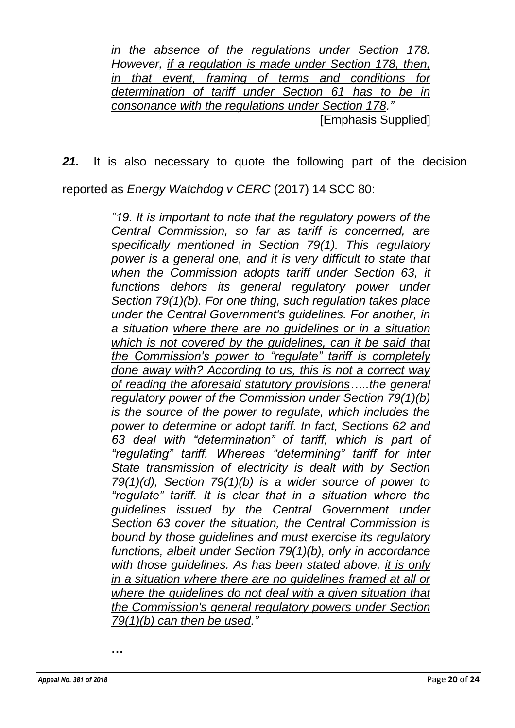*in the absence of the regulations under Section 178. However, if a regulation is made under Section 178, then, in that event, framing of terms and conditions for determination of tariff under Section 61 has to be in consonance with the regulations under Section 178."* [Emphasis Supplied]

*21.* It is also necessary to quote the following part of the decision

reported as *Energy Watchdog v CERC* (2017) 14 SCC 80:

*"19. It is important to note that the regulatory powers of the Central Commission, so far as tariff is concerned, are specifically mentioned in Section 79(1). This regulatory power is a general one, and it is very difficult to state that when the Commission adopts tariff under Section 63, it*  functions dehors its general regulatory power under *Section 79(1)(b). For one thing, such regulation takes place under the Central Government's guidelines. For another, in a situation where there are no guidelines or in a situation which is not covered by the guidelines, can it be said that the Commission's power to "regulate" tariff is completely done away with? According to us, this is not a correct way of reading the aforesaid statutory provisions…..the general regulatory power of the Commission under Section 79(1)(b) is the source of the power to regulate, which includes the power to determine or adopt tariff. In fact, Sections 62 and 63 deal with "determination" of tariff, which is part of "regulating" tariff. Whereas "determining" tariff for inter State transmission of electricity is dealt with by Section 79(1)(d), Section 79(1)(b) is a wider source of power to "regulate" tariff. It is clear that in a situation where the guidelines issued by the Central Government under Section 63 cover the situation, the Central Commission is bound by those guidelines and must exercise its regulatory functions, albeit under Section 79(1)(b), only in accordance with those guidelines. As has been stated above, it is only in a situation where there are no guidelines framed at all or where the guidelines do not deal with a given situation that the Commission's general regulatory powers under Section 79(1)(b) can then be used."*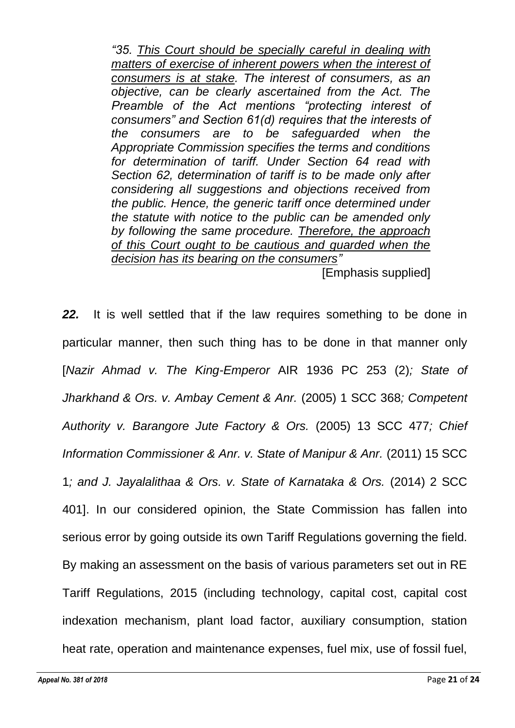*"35. This Court should be specially careful in dealing with matters of exercise of inherent powers when the interest of consumers is at stake. The interest of consumers, as an objective, can be clearly ascertained from the Act. The Preamble of the Act mentions "protecting interest of consumers" and Section 61(d) requires that the interests of the consumers are to be safeguarded when the Appropriate Commission specifies the terms and conditions for determination of tariff. Under Section 64 read with Section 62, determination of tariff is to be made only after considering all suggestions and objections received from the public. Hence, the generic tariff once determined under the statute with notice to the public can be amended only by following the same procedure. Therefore, the approach of this Court ought to be cautious and guarded when the decision has its bearing on the consumers"* [Emphasis supplied]

*22.* It is well settled that if the law requires something to be done in particular manner, then such thing has to be done in that manner only [*Nazir Ahmad v. The King-Emperor* AIR 1936 PC 253 (2)*; State of Jharkhand & Ors. v. Ambay Cement & Anr.* (2005) 1 SCC 368*; Competent Authority v. Barangore Jute Factory & Ors.* (2005) 13 SCC 477*; Chief Information Commissioner & Anr. v. State of Manipur & Anr.* (2011) 15 SCC 1*; and J. Jayalalithaa & Ors. v. State of Karnataka & Ors.* (2014) 2 SCC 401]. In our considered opinion, the State Commission has fallen into serious error by going outside its own Tariff Regulations governing the field. By making an assessment on the basis of various parameters set out in RE Tariff Regulations, 2015 (including technology, capital cost, capital cost indexation mechanism, plant load factor, auxiliary consumption, station heat rate, operation and maintenance expenses, fuel mix, use of fossil fuel,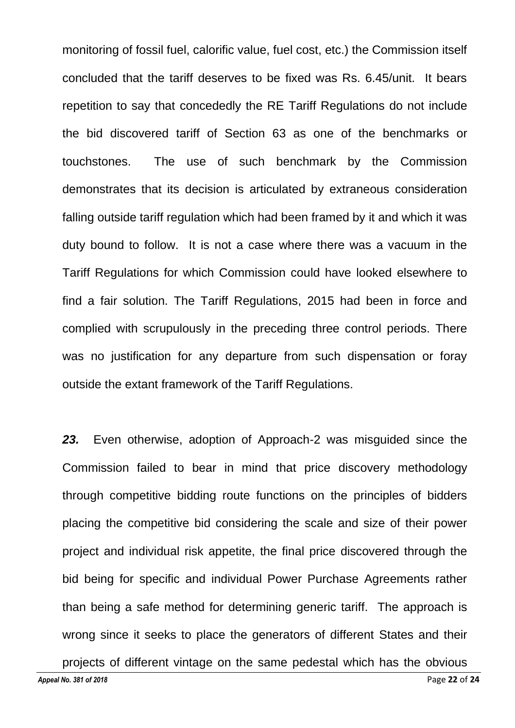monitoring of fossil fuel, calorific value, fuel cost, etc.) the Commission itself concluded that the tariff deserves to be fixed was Rs. 6.45/unit. It bears repetition to say that concededly the RE Tariff Regulations do not include the bid discovered tariff of Section 63 as one of the benchmarks or touchstones. The use of such benchmark by the Commission demonstrates that its decision is articulated by extraneous consideration falling outside tariff regulation which had been framed by it and which it was duty bound to follow. It is not a case where there was a vacuum in the Tariff Regulations for which Commission could have looked elsewhere to find a fair solution. The Tariff Regulations, 2015 had been in force and complied with scrupulously in the preceding three control periods. There was no justification for any departure from such dispensation or foray outside the extant framework of the Tariff Regulations.

*23.* Even otherwise, adoption of Approach-2 was misguided since the Commission failed to bear in mind that price discovery methodology through competitive bidding route functions on the principles of bidders placing the competitive bid considering the scale and size of their power project and individual risk appetite, the final price discovered through the bid being for specific and individual Power Purchase Agreements rather than being a safe method for determining generic tariff. The approach is wrong since it seeks to place the generators of different States and their projects of different vintage on the same pedestal which has the obvious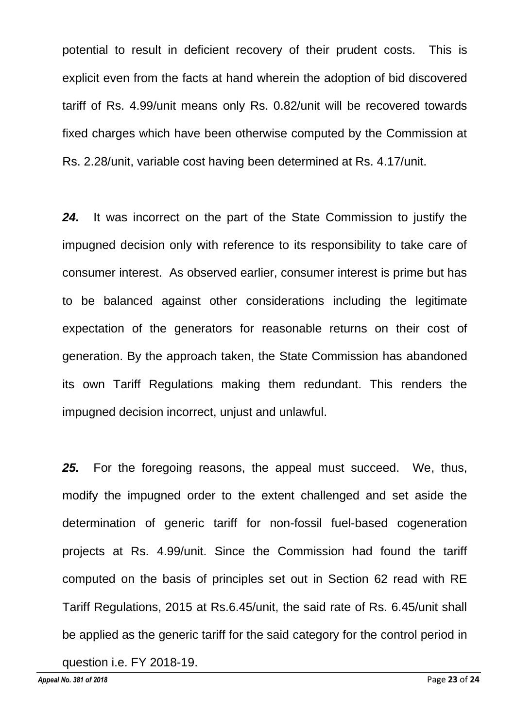potential to result in deficient recovery of their prudent costs. This is explicit even from the facts at hand wherein the adoption of bid discovered tariff of Rs. 4.99/unit means only Rs. 0.82/unit will be recovered towards fixed charges which have been otherwise computed by the Commission at Rs. 2.28/unit, variable cost having been determined at Rs. 4.17/unit.

*24.* It was incorrect on the part of the State Commission to justify the impugned decision only with reference to its responsibility to take care of consumer interest. As observed earlier, consumer interest is prime but has to be balanced against other considerations including the legitimate expectation of the generators for reasonable returns on their cost of generation. By the approach taken, the State Commission has abandoned its own Tariff Regulations making them redundant. This renders the impugned decision incorrect, unjust and unlawful.

*25.* For the foregoing reasons, the appeal must succeed. We, thus, modify the impugned order to the extent challenged and set aside the determination of generic tariff for non-fossil fuel-based cogeneration projects at Rs. 4.99/unit. Since the Commission had found the tariff computed on the basis of principles set out in Section 62 read with RE Tariff Regulations, 2015 at Rs.6.45/unit, the said rate of Rs. 6.45/unit shall be applied as the generic tariff for the said category for the control period in question i.e. FY 2018-19.